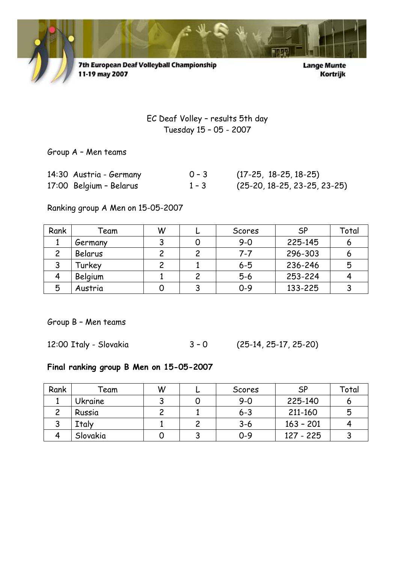

7th European Deaf Volleyball Championship 11-19 may 2007

**Lange Munte** Kortrijk

EC Deaf Volley – results 5th day Tuesday 15 – 05 - 2007

Group A – Men teams

| 14:30 Austria - Germany | $0 - 3$ | $(17-25, 18-25, 18-25)$        |
|-------------------------|---------|--------------------------------|
| 17:00 Belgium - Belarus | $1 - 3$ | $(25-20, 18-25, 23-25, 23-25)$ |

Ranking group A Men on 15-05-2007

| Rank | Feam    | W | Scores  | <b>SP</b> | Total |
|------|---------|---|---------|-----------|-------|
|      | Germany |   | $9 - 0$ | 225-145   |       |
|      | Belarus |   | $7 - 7$ | 296-303   | O     |
|      | Turkey  |   | $6 - 5$ | 236-246   | 5     |
|      | Belgium |   | $5-6$   | 253-224   |       |
| 5    | Austria |   | $0 - 9$ | 133-225   |       |

Group B – Men teams

|  | 12:00 Italy - Slovakia | $3 - 0$ | $(25-14, 25-17, 25-20)$ |
|--|------------------------|---------|-------------------------|
|--|------------------------|---------|-------------------------|

## Final ranking group B Men on 15-05-2007

| Rank | ēam      | W | Scores  | <b>SP</b>   | Total |
|------|----------|---|---------|-------------|-------|
|      | Ukraine  |   | $9 - 0$ | 225-140     |       |
|      | Russia   |   | $6 - 3$ | 211-160     | 5     |
| ັ    | Italy    |   | $3 - 6$ | $163 - 201$ |       |
|      | Slovakia |   | $0 - 9$ | 127 - 225   | ິ     |